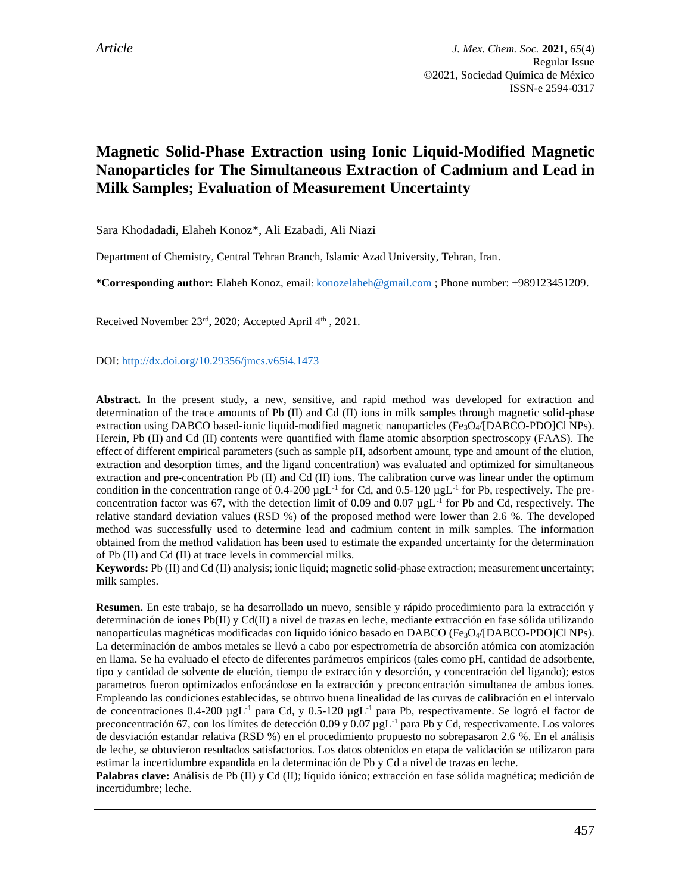# **Magnetic Solid-Phase Extraction using Ionic Liquid-Modified Magnetic Nanoparticles for The Simultaneous Extraction of Cadmium and Lead in Milk Samples; Evaluation of Measurement Uncertainty**

Sara Khodadadi, Elaheh Konoz\*, Ali Ezabadi, Ali Niazi

Department of Chemistry, Central Tehran Branch, Islamic Azad University, Tehran, Iran.

**\*Corresponding author:** Elaheh Konoz, email: [konozelaheh@gmail.com](mailto:konozelaheh@gmail.com) ; Phone number: +989123451209.

Received November 23rd, 2020; Accepted April 4th, 2021.

DOI:<http://dx.doi.org/10.29356/jmcs.v65i4.1473>

**Abstract.** In the present study, a new, sensitive, and rapid method was developed for extraction and determination of the trace amounts of Pb (II) and Cd (II) ions in milk samples through magnetic solid-phase extraction using DABCO based-ionic liquid-modified magnetic nanoparticles  $(Fe<sub>3</sub>O<sub>4</sub>/[DABCO-PDO]Cl NPs)$ . Herein, Pb (II) and Cd (II) contents were quantified with flame atomic absorption spectroscopy (FAAS). The effect of different empirical parameters (such as sample pH, adsorbent amount, type and amount of the elution, extraction and desorption times, and the ligand concentration) was evaluated and optimized for simultaneous extraction and pre-concentration Pb (II) and Cd (II) ions. The calibration curve was linear under the optimum condition in the concentration range of 0.4-200  $\mu gL^{-1}$  for Cd, and 0.5-120  $\mu gL^{-1}$  for Pb, respectively. The preconcentration factor was 67, with the detection limit of 0.09 and 0.07  $\mu g L^{-1}$  for Pb and Cd, respectively. The relative standard deviation values (RSD %) of the proposed method were lower than 2.6 %. The developed method was successfully used to determine lead and cadmium content in milk samples. The information obtained from the method validation has been used to estimate the expanded uncertainty for the determination of Pb (II) and Cd (II) at trace levels in commercial milks.

**Keywords:** Pb (II) and Cd (II) analysis; ionic liquid; magnetic solid-phase extraction; measurement uncertainty; milk samples.

**Resumen.** En este trabajo, se ha desarrollado un nuevo, sensible y rápido procedimiento para la extracción y determinación de iones Pb(II) y Cd(II) a nivel de trazas en leche, mediante extracción en fase sólida utilizando nanopartículas magnéticas modificadas con líquido iónico basado en DABCO (Fe3O4/[DABCO-PDO]Cl NPs). La determinación de ambos metales se llevó a cabo por espectrometría de absorción atómica con atomización en llama. Se ha evaluado el efecto de diferentes parámetros empíricos (tales como pH, cantidad de adsorbente, tipo y cantidad de solvente de elución, tiempo de extracción y desorción, y concentración del ligando); estos parametros fueron optimizados enfocándose en la extracción y preconcentración simultanea de ambos iones. Empleando las condiciones establecidas, se obtuvo buena linealidad de las curvas de calibración en el intervalo de concentraciones 0.4-200  $\mu g L^{-1}$  para Cd, y 0.5-120  $\mu g L^{-1}$  para Pb, respectivamente. Se logró el factor de preconcentración 67, con los límites de detección 0.09 y 0.07 µgL<sup>-1</sup> para Pb y Cd, respectivamente. Los valores de desviación estandar relativa (RSD %) en el procedimiento propuesto no sobrepasaron 2.6 %. En el análisis de leche, se obtuvieron resultados satisfactorios. Los datos obtenidos en etapa de validación se utilizaron para estimar la incertidumbre expandida en la determinación de Pb y Cd a nivel de trazas en leche.

**Palabras clave:** Análisis de Pb (II) y Cd (II); líquido iónico; extracción en fase sólida magnética; medición de incertidumbre; leche.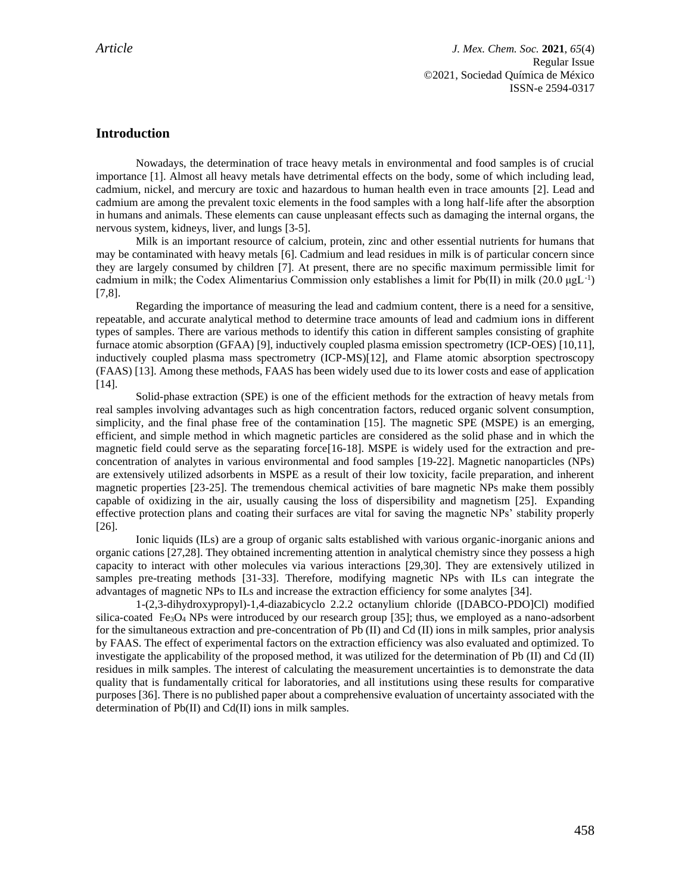*Article J. Mex. Chem. Soc.* **2021**, *65*(4) Regular Issue ©2021, Sociedad Química de México ISSN-e 2594-0317

# **Introduction**

Nowadays, the determination of trace heavy metals in environmental and food samples is of crucial importance [1]. Almost all heavy metals have detrimental effects on the body, some of which including lead, cadmium, nickel, and mercury are toxic and hazardous to human health even in trace amounts [2]. Lead and cadmium are among the prevalent toxic elements in the food samples with a long half-life after the absorption in humans and animals. These elements can cause unpleasant effects such as damaging the internal organs, the nervous system, kidneys, liver, and lungs [3-5].

Milk is an important resource of calcium, protein, zinc and other essential nutrients for humans that may be contaminated with heavy metals [6]. Cadmium and lead residues in milk is of particular concern since they are largely consumed by children [7]. At present, there are no specific maximum permissible limit for cadmium in milk; the Codex Alimentarius Commission only establishes a limit for Pb(II) in milk  $(20.0 \mu gL^{-1})$ [7,8].

Regarding the importance of measuring the lead and cadmium content, there is a need for a sensitive, repeatable, and accurate analytical method to determine trace amounts of lead and cadmium ions in different types of samples. There are various methods to identify this cation in different samples consisting of graphite furnace atomic absorption (GFAA) [9], inductively coupled plasma emission spectrometry (ICP-OES) [10,11], inductively coupled plasma mass spectrometry (ICP-MS)[12], and Flame atomic absorption spectroscopy (FAAS) [13]. Among these methods, FAAS has been widely used due to its lower costs and ease of application [14].

Solid-phase extraction (SPE) is one of the efficient methods for the extraction of heavy metals from real samples involving advantages such as high concentration factors, reduced organic solvent consumption, simplicity, and the final phase free of the contamination [15]. The magnetic SPE (MSPE) is an emerging, efficient, and simple method in which magnetic particles are considered as the solid phase and in which the magnetic field could serve as the separating force [16-18]. MSPE is widely used for the extraction and preconcentration of analytes in various environmental and food samples [19-22]. Magnetic nanoparticles (NPs) are extensively utilized adsorbents in MSPE as a result of their low toxicity, facile preparation, and inherent magnetic properties [23-25]. The tremendous chemical activities of bare magnetic NPs make them possibly capable of oxidizing in the air, usually causing the loss of dispersibility and magnetism [25]. Expanding effective protection plans and coating their surfaces are vital for saving the magnetic NPs' stability properly [26].

Ionic liquids (ILs) are a group of organic salts established with various organic-inorganic anions and organic cations [27,28]. They obtained incrementing attention in analytical chemistry since they possess a high capacity to interact with other molecules via various interactions [29,30]. They are extensively utilized in samples pre-treating methods [31-33]. Therefore, modifying magnetic NPs with ILs can integrate the advantages of magnetic NPs to ILs and increase the extraction efficiency for some analytes [34].

1-(2,3-dihydroxypropyl)-1,4-diazabicyclo 2.2.2 octanylium chloride ([DABCO-PDO]Cl) modified silica-coated Fe<sub>3</sub>O<sub>4</sub> NPs were introduced by our research group [35]; thus, we employed as a nano-adsorbent for the simultaneous extraction and pre-concentration of Pb (II) and Cd (II) ions in milk samples,prior analysis by FAAS. The effect of experimental factors on the extraction efficiency was also evaluated and optimized. To investigate the applicability of the proposed method, it was utilized for the determination of Pb (II) and Cd (II) residues in milk samples. The interest of calculating the measurement uncertainties is to demonstrate the data quality that is fundamentally critical for laboratories, and all institutions using these results for comparative purposes [36]. There is no published paper about a comprehensive evaluation of uncertainty associated with the determination of Pb(II) and Cd(II) ions in milk samples.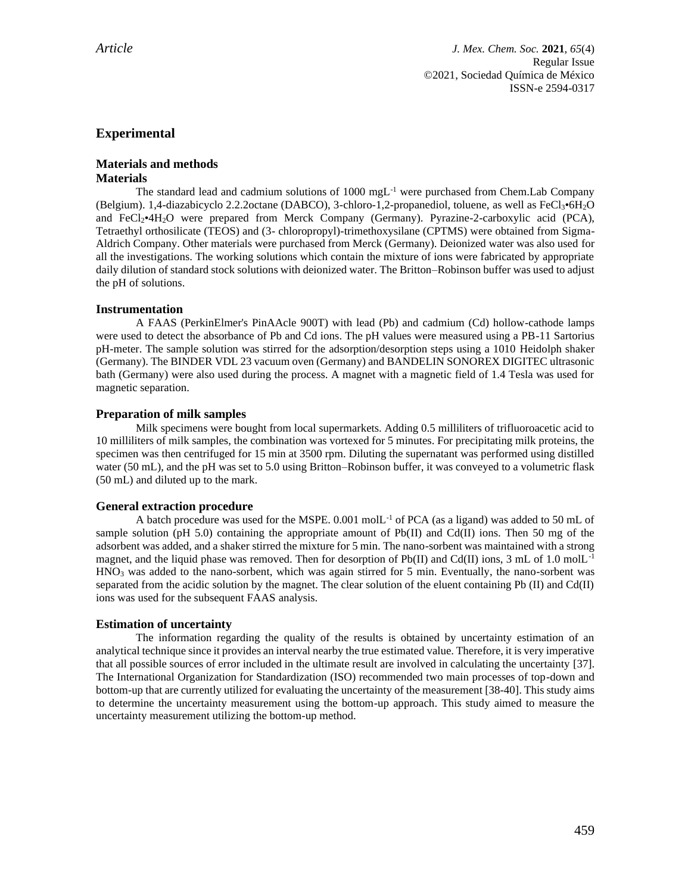# **Experimental**

# **Materials and methods Materials**

The standard lead and cadmium solutions of 1000 mgL<sup>-1</sup> were purchased from Chem.Lab Company (Belgium). 1,4-diazabicyclo 2.2.2octane (DABCO), 3-chloro-1,2-propanediol, toluene, as well as FeCl3•6H2O and FeCl<sub>2</sub>•4H<sub>2</sub>O were prepared from Merck Company (Germany). Pyrazine-2-carboxylic acid (PCA), Tetraethyl orthosilicate (TEOS) and (3- chloropropyl)-trimethoxysilane (CPTMS) were obtained from Sigma-Aldrich Company. Other materials were purchased from Merck (Germany). Deionized water was also used for all the investigations. The working solutions which contain the mixture of ions were fabricated by appropriate daily dilution of standard stock solutions with deionized water. The Britton–Robinson buffer was used to adjust the pH of solutions.

# **Instrumentation**

A FAAS (PerkinElmer's PinAAcle 900T) with lead (Pb) and cadmium (Cd) hollow-cathode lamps were used to detect the absorbance of Pb and Cd ions. The pH values were measured using a PB-11 Sartorius pH-meter. The sample solution was stirred for the adsorption/desorption steps using a 1010 Heidolph shaker (Germany). The BINDER VDL 23 vacuum oven (Germany) and BANDELIN SONOREX DIGITEC ultrasonic bath (Germany) were also used during the process. A magnet with a magnetic field of 1.4 Tesla was used for magnetic separation.

#### **Preparation of milk samples**

Milk specimens were bought from local supermarkets. Adding 0.5 milliliters of trifluoroacetic acid to 10 milliliters of milk samples, the combination was vortexed for 5 minutes. For precipitating milk proteins, the specimen was then centrifuged for 15 min at 3500 rpm. Diluting the supernatant was performed using distilled water (50 mL), and the pH was set to 5.0 using Britton–Robinson buffer, it was conveyed to a volumetric flask (50 mL) and diluted up to the mark.

#### **General extraction procedure**

A batch procedure was used for the MSPE.  $0.001$  molL<sup>-1</sup> of PCA (as a ligand) was added to 50 mL of sample solution (pH 5.0) containing the appropriate amount of Pb(II) and Cd(II) ions. Then 50 mg of the adsorbent was added, and a shaker stirred the mixture for 5 min. The nano-sorbent was maintained with a strong magnet, and the liquid phase was removed. Then for desorption of  $Pb(II)$  and Cd(II) ions, 3 mL of 1.0 molL<sup>-1</sup>  $HNO<sub>3</sub>$  was added to the nano-sorbent, which was again stirred for 5 min. Eventually, the nano-sorbent was separated from the acidic solution by the magnet. The clear solution of the eluent containing Pb (II) and Cd(II) ions was used for the subsequent FAAS analysis.

# **Estimation of uncertainty**

The information regarding the quality of the results is obtained by uncertainty estimation of an analytical technique since it provides an interval nearby the true estimated value. Therefore, it is very imperative that all possible sources of error included in the ultimate result are involved in calculating the uncertainty [37]. The International Organization for Standardization (ISO) recommended two main processes of top-down and bottom-up that are currently utilized for evaluating the uncertainty of the measurement [38-40]. This study aims to determine the uncertainty measurement using the bottom-up approach. This study aimed to measure the uncertainty measurement utilizing the bottom-up method.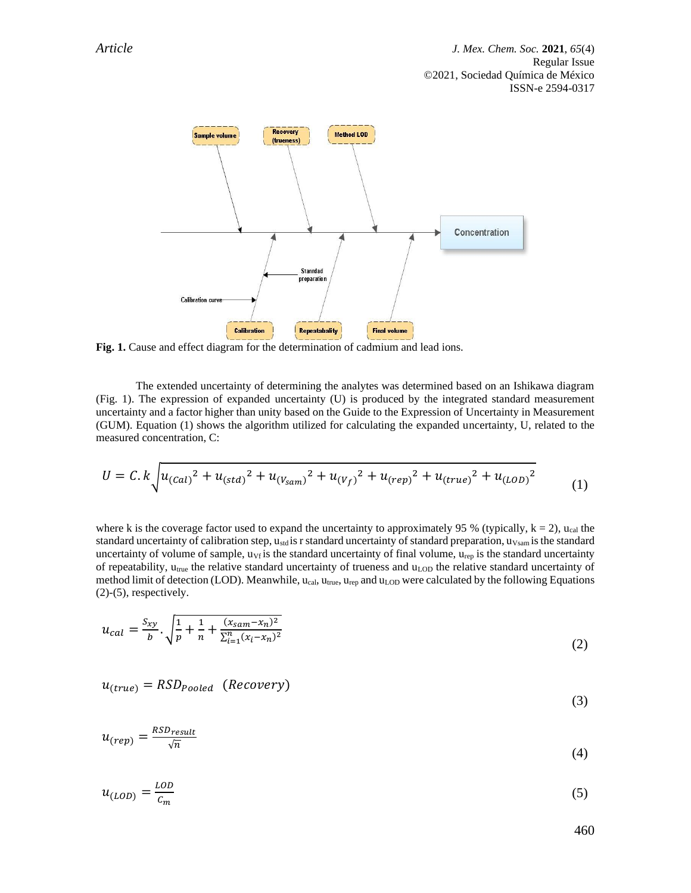

**Fig. 1.** Cause and effect diagram for the determination of cadmium and lead ions.

The extended uncertainty of determining the analytes was determined based on an Ishikawa diagram (Fig. 1). The expression of expanded uncertainty (U) is produced by the integrated standard measurement uncertainty and a factor higher than unity based on the Guide to the Expression of Uncertainty in Measurement (GUM). Equation (1) shows the algorithm utilized for calculating the expanded uncertainty, U, related to the measured concentration, C:

$$
U = C \cdot k \int u_{(Cal)}^2 + u_{(std)}^2 + u_{(V_{sam})}^2 + u_{(V_f)}^2 + u_{(rep)}^2 + u_{(true)}^2 + u_{(LOD)}^2 \tag{1}
$$

where k is the coverage factor used to expand the uncertainty to approximately 95 % (typically,  $k = 2$ ), u<sub>cal</sub> the standard uncertainty of calibration step, u<sub>std</sub> is r standard uncertainty of standard preparation, u<sub>Vsam</sub> is the standard uncertainty of volume of sample,  $u_{Vf}$  is the standard uncertainty of final volume,  $u_{rep}$  is the standard uncertainty of repeatability,  $u_{true}$  the relative standard uncertainty of trueness and  $u_{LOD}$  the relative standard uncertainty of method limit of detection (LOD). Meanwhile,  $u_{cal}$ ,  $u_{true}$ ,  $u_{rep}$  and  $u_{LOD}$  were calculated by the following Equations  $(2)-(5)$ , respectively.

$$
u_{cal} = \frac{s_{xy}}{b} \cdot \sqrt{\frac{1}{p} + \frac{1}{n} + \frac{(x_{sam} - x_n)^2}{\sum_{i=1}^n (x_i - x_n)^2}}
$$
(2)

$$
u_{(true)} = RSD_{pooled} \quad (Recovery)
$$
\n(3)

$$
u_{(rep)} = \frac{RSD_{result}}{\sqrt{n}}\tag{4}
$$

$$
u_{(LOD)} = \frac{LOD}{c_m} \tag{5}
$$

460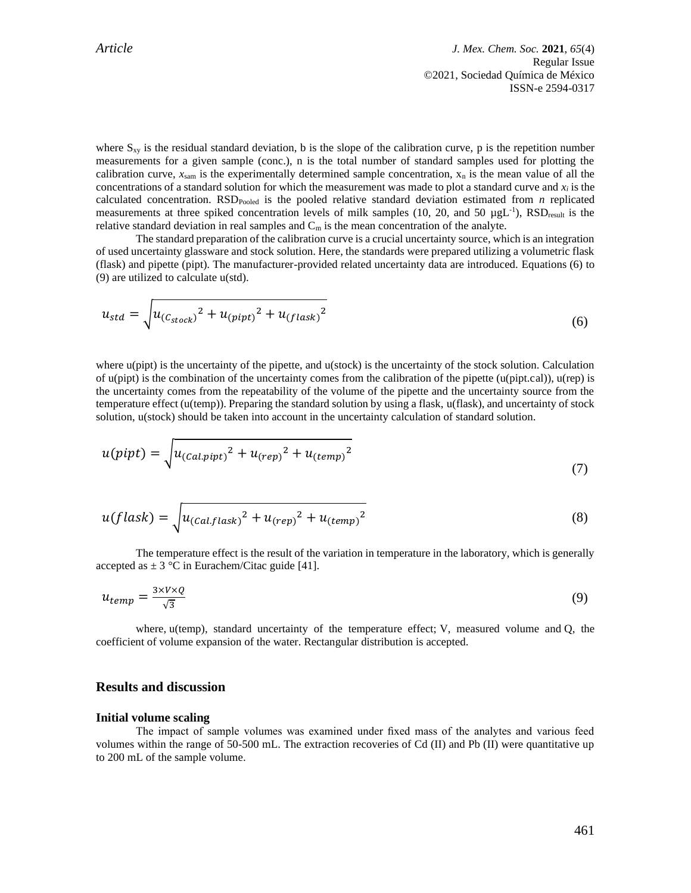*Article J. Mex. Chem. Soc.* **2021**, *65*(4) Regular Issue ©2021, Sociedad Química de México ISSN-e 2594-0317

where  $S_{xy}$  is the residual standard deviation, b is the slope of the calibration curve, p is the repetition number measurements for a given sample (conc.), n is the total number of standard samples used for plotting the calibration curve,  $x_{\text{sam}}$  is the experimentally determined sample concentration,  $x_n$  is the mean value of all the concentrations of a standard solution for which the measurement was made to plot a standard curve and  $x_i$  is the calculated concentration. RSD<sub>Pooled</sub> is the pooled relative standard deviation estimated from  $n$  replicated measurements at three spiked concentration levels of milk samples (10, 20, and 50  $\mu g L^{-1}$ ), RSD<sub>result</sub> is the relative standard deviation in real samples and  $C_m$  is the mean concentration of the analyte.

The standard preparation of the calibration curve is a crucial uncertainty source, which is an integration of used uncertainty glassware and stock solution. Here, the standards were prepared utilizing a volumetric flask (flask) and pipette (pipt). The manufacturer-provided related uncertainty data are introduced. Equations (6) to (9) are utilized to calculate u(std).

$$
u_{std} = \sqrt{u_{(C_{stock})}^2 + u_{(pipt)}^2 + u_{(flask)}^2}
$$
 (6)

where u(pipt) is the uncertainty of the pipette, and u(stock) is the uncertainty of the stock solution. Calculation of  $u$ (pipt) is the combination of the uncertainty comes from the calibration of the pipette ( $u$ (pipt.cal)),  $u$ (rep) is the uncertainty comes from the repeatability of the volume of the pipette and the uncertainty source from the temperature effect (u(temp)). Preparing the standard solution by using a flask, u(flask), and uncertainty of stock solution, u(stock) should be taken into account in the uncertainty calculation of standard solution.

$$
u(pipt) = \sqrt{u_{(Cal.pipt)}^2 + u_{(rep)}^2 + u_{(temp)}^2}
$$
\n(7)

$$
u(flask) = \sqrt{u_{(Cal.flask)}^2 + u_{(rep)}^2 + u_{(temp)}^2}
$$
\n(8)

The temperature effect is the result of the variation in temperature in the laboratory, which is generally accepted as  $\pm 3$  °C in Eurachem/Citac guide [41].

$$
u_{temp} = \frac{3 \times V \times Q}{\sqrt{3}} \tag{9}
$$

where, u(temp), standard uncertainty of the temperature effect; V, measured volume and Q, the coefficient of volume expansion of the water. Rectangular distribution is accepted.

# **Results and discussion**

#### **Initial volume scaling**

The impact of sample volumes was examined under fixed mass of the analytes and various feed volumes within the range of 50-500 mL. The extraction recoveries of Cd (II) and Pb (II) were quantitative up to 200 mL of the sample volume.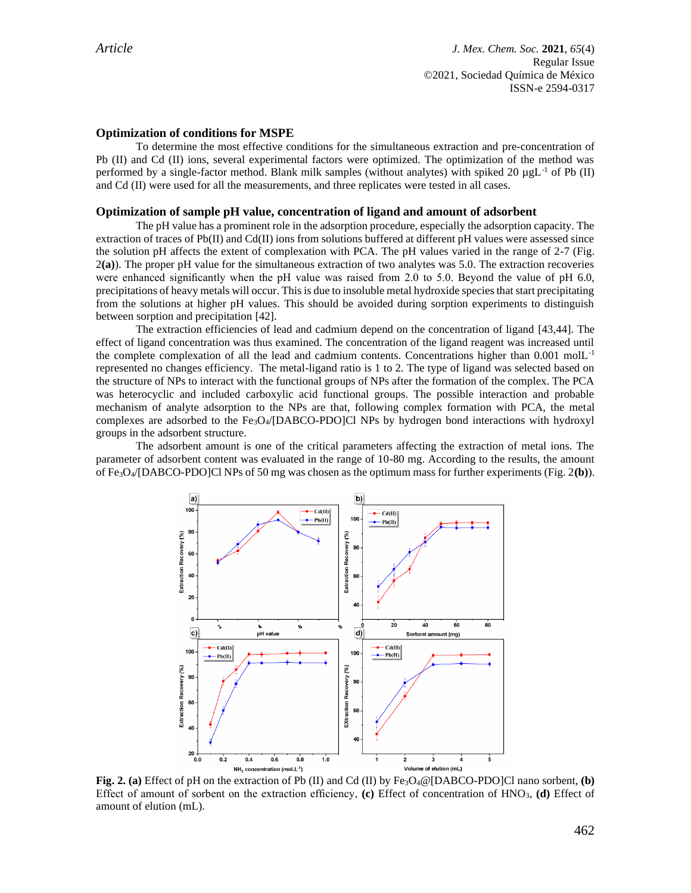#### **Optimization of conditions for MSPE**

To determine the most effective conditions for the simultaneous extraction and pre-concentration of Pb (II) and Cd (II) ions, several experimental factors were optimized. The optimization of the method was performed by a single-factor method. Blank milk samples (without analytes) with spiked 20  $\mu$ gL<sup>-1</sup> of Pb (II) and Cd (II) were used for all the measurements, and three replicates were tested in all cases.

#### **Optimization of sample pH value, concentration of ligand and amount of adsorbent**

The pH value has a prominent role in the adsorption procedure, especially the adsorption capacity. The extraction of traces of  $Pb(II)$  and  $Cd(II)$  ions from solutions buffered at different pH values were assessed since the solution pH affects the extent of complexation with PCA. The pH values varied in the range of 2-7 (Fig. 2**(a)**). The proper pH value for the simultaneous extraction of two analytes was 5.0. The extraction recoveries were enhanced significantly when the pH value was raised from 2.0 to 5.0. Beyond the value of pH 6.0, precipitations of heavy metals will occur. This is due to insoluble metal hydroxide species that start precipitating from the solutions at higher pH values. This should be avoided during sorption experiments to distinguish between sorption and precipitation [42].

The extraction efficiencies of lead and cadmium depend on the concentration of ligand [43,44]. The effect of ligand concentration was thus examined. The concentration of the ligand reagent was increased until the complete complexation of all the lead and cadmium contents. Concentrations higher than 0.001 molL-1 represented no changes efficiency. The metal-ligand ratio is 1 to 2. The type of ligand was selected based on the structure of NPs to interact with the functional groups of NPs after the formation of the complex. The PCA was heterocyclic and included carboxylic acid functional groups. The possible interaction and probable mechanism of analyte adsorption to the NPs are that, following complex formation with PCA, the metal complexes are adsorbed to the Fe3O4/[DABCO-PDO]Cl NPs by hydrogen bond interactions with hydroxyl groups in the adsorbent structure.

The adsorbent amount is one of the critical parameters affecting the extraction of metal ions. The parameter of adsorbent content was evaluated in the range of 10-80 mg. According to the results, the amount of Fe3O4/[DABCO-PDO]Cl NPs of 50 mg was chosen as the optimum mass for further experiments (Fig. 2**(b)**).



**Fig. 2. (a)** Effect of pH on the extraction of Pb (II) and Cd (II) by Fe3O4@[DABCO-PDO]Cl nano sorbent, **(b)** Effect of amount of sorbent on the extraction efficiency, **(c)** Effect of concentration of HNO3, **(d)** Effect of amount of elution (mL).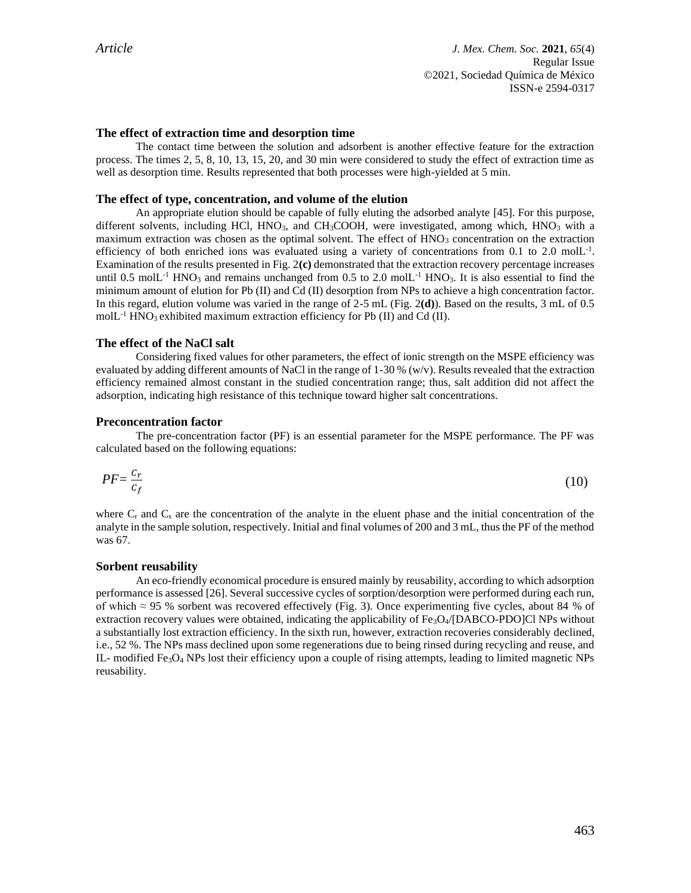### **The effect of extraction time and desorption time**

The contact time between the solution and adsorbent is another effective feature for the extraction process. The times 2, 5, 8, 10, 13, 15, 20, and 30 min were considered to study the effect of extraction time as well as desorption time. Results represented that both processes were high-yielded at 5 min.

#### **The effect of type, concentration, and volume of the elution**

An appropriate elution should be capable of fully eluting the adsorbed analyte [45]. For this purpose, different solvents, including HCl, HNO<sub>3</sub>, and CH<sub>3</sub>COOH, were investigated, among which, HNO<sub>3</sub> with a maximum extraction was chosen as the optimal solvent. The effect of  $HNO<sub>3</sub>$  concentration on the extraction efficiency of both enriched ions was evaluated using a variety of concentrations from 0.1 to 2.0 molL<sup>-1</sup>. Examination of the results presented in Fig. 2**(c)** demonstrated that the extraction recovery percentage increases until 0.5 molL<sup>-1</sup> HNO<sub>3</sub> and remains unchanged from 0.5 to 2.0 molL<sup>-1</sup> HNO<sub>3</sub>. It is also essential to find the minimum amount of elution for Pb (II) and Cd (II) desorption from NPs to achieve a high concentration factor. In this regard, elution volume was varied in the range of 2-5 mL (Fig. 2**(d)**). Based on the results, 3 mL of 0.5 molL<sup>-1</sup> HNO<sub>3</sub> exhibited maximum extraction efficiency for Pb (II) and Cd (II).

#### **The effect of the NaCl salt**

Considering fixed values for other parameters, the effect of ionic strength on the MSPE efficiency was evaluated by adding different amounts of NaCl in the range of 1-30 % (w/v). Results revealed that the extraction efficiency remained almost constant in the studied concentration range; thus, salt addition did not affect the adsorption, indicating high resistance of this technique toward higher salt concentrations.

#### **Preconcentration factor**

The pre-concentration factor (PF) is an essential parameter for the MSPE performance. The PF was calculated based on the following equations:

$$
PF = \frac{c_r}{c_f} \tag{10}
$$

where  $C_r$  and  $C_s$  are the concentration of the analyte in the eluent phase and the initial concentration of the analyte in the sample solution, respectively. Initial and final volumes of 200 and 3 mL, thus the PF of the method was 67.

#### **Sorbent reusability**

An eco-friendly economical procedure is ensured mainly by reusability, according to which adsorption performance is assessed [26]. Several successive cycles of sorption/desorption were performed during each run, of which  $\approx$  95 % sorbent was recovered effectively (Fig. 3). Once experimenting five cycles, about 84 % of extraction recovery values were obtained, indicating the applicability of  $Fe<sub>3</sub>O<sub>4</sub>/[DABCO-PDO]Cl$  NPs without a substantially lost extraction efficiency. In the sixth run, however, extraction recoveries considerably declined, i.e., 52 %. The NPs mass declined upon some regenerations due to being rinsed during recycling and reuse, and IL- modified Fe3O<sup>4</sup> NPs lost their efficiency upon a couple of rising attempts, leading to limited magnetic NPs reusability.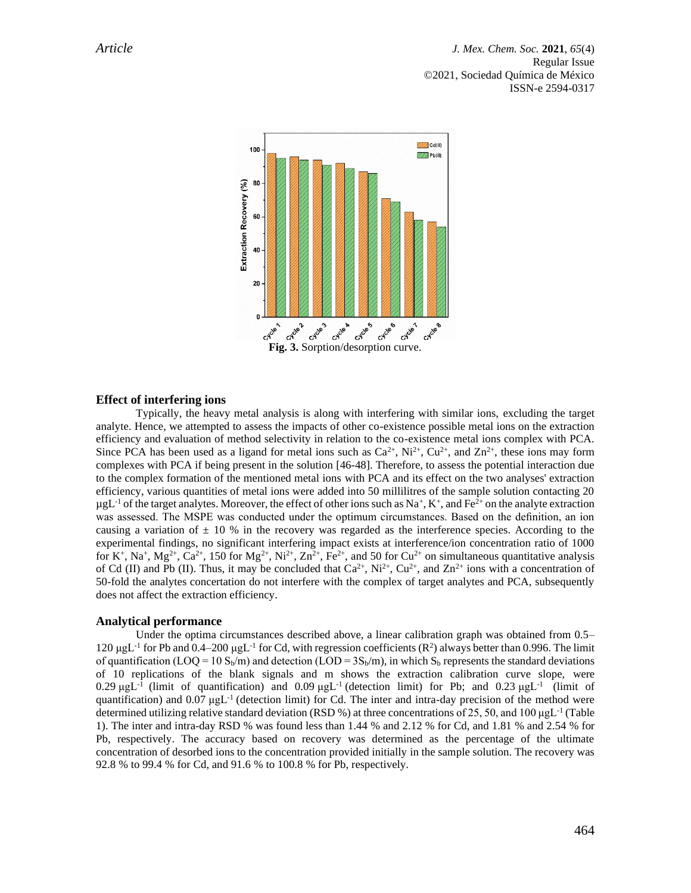

#### **Effect of interfering ions**

Typically, the heavy metal analysis is along with interfering with similar ions, excluding the target analyte. Hence, we attempted to assess the impacts of other co-existence possible metal ions on the extraction efficiency and evaluation of method selectivity in relation to the co-existence metal ions complex with PCA. Since PCA has been used as a ligand for metal ions such as  $Ca^{2+}$ , Ni<sup>2+</sup>, Cu<sup>2+</sup>, and Zn<sup>2+</sup>, these ions may form complexes with PCA if being present in the solution [46-48]. Therefore, to assess the potential interaction due to the complex formation of the mentioned metal ions with PCA and its effect on the two analyses' extraction efficiency, various quantities of metal ions were added into 50 millilitres of the sample solution contacting 20  $\mu$ gL<sup>-1</sup> of the target analytes. Moreover, the effect of other ions such as Na<sup>+</sup>, K<sup>+</sup>, and Fe<sup>2+</sup> on the analyte extraction was assessed. The MSPE was conducted under the optimum circumstances. Based on the definition, an ion causing a variation of  $\pm$  10 % in the recovery was regarded as the interference species. According to the experimental findings, no significant interfering impact exists at interference/ion concentration ratio of 1000 for K<sup>+</sup>, Na<sup>+</sup>, Mg<sup>2+</sup>, Ca<sup>2+</sup>, 150 for Mg<sup>2+</sup>, Ni<sup>2+</sup>, Zn<sup>2+</sup>, Fe<sup>2+</sup>, and 50 for Cu<sup>2+</sup> on simultaneous quantitative analysis of Cd (II) and Pb (II). Thus, it may be concluded that  $Ca^{2+}$ ,  $Ni^{2+}$ ,  $Cu^{2+}$ , and  $Zn^{2+}$  ions with a concentration of 50-fold the analytes concertation do not interfere with the complex of target analytes and PCA, subsequently does not affect the extraction efficiency.

#### **Analytical performance**

Under the optima circumstances described above, a linear calibration graph was obtained from 0.5– 120  $\mu$ gL<sup>-1</sup> for Pb and 0.4–200  $\mu$ gL<sup>-1</sup> for Cd, with regression coefficients (R<sup>2</sup>) always better than 0.996. The limit of quantification (LOQ =  $10 \text{ S}_b/m$ ) and detection (LOD =  $3\text{S}_b/m$ ), in which  $\text{S}_b$  represents the standard deviations of 10 replications of the blank signals and m shows the extraction calibration curve slope, were  $0.29 \mu g L^{-1}$  (limit of quantification) and  $0.09 \mu g L^{-1}$  (detection limit) for Pb; and  $0.23 \mu g L^{-1}$  (limit of quantification) and 0.07 μgL<sup>-1</sup> (detection limit) for Cd. The inter and intra-day precision of the method were determined utilizing relative standard deviation (RSD %) at three concentrations of 25, 50, and 100  $\mu g L^{-1}$  (Table 1). The inter and intra-day RSD % was found less than 1.44 % and 2.12 % for Cd, and 1.81 % and 2.54 % for Pb, respectively. The accuracy based on recovery was determined as the percentage of the ultimate concentration of desorbed ions to the concentration provided initially in the sample solution. The recovery was 92.8 % to 99.4 % for Cd, and 91.6 % to 100.8 % for Pb, respectively.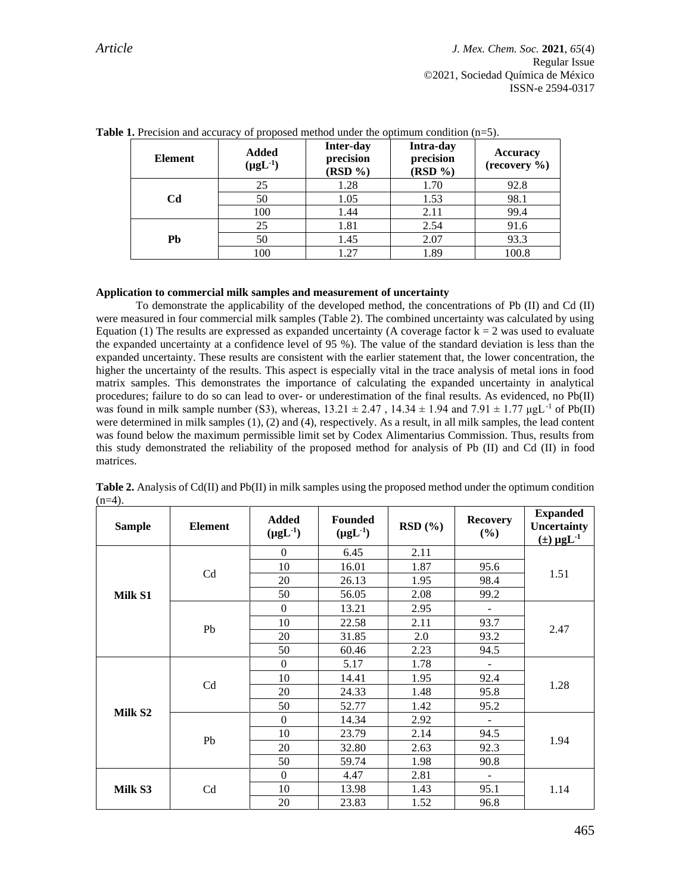| Element        | <b>Added</b><br>$(\mu g L^{-1})$ | <b>Inter-day</b><br>precision<br>$(RSD \%)$ | Intra-day<br>precision<br>(RSD %) | <b>Accuracy</b><br>(recovery %) |
|----------------|----------------------------------|---------------------------------------------|-----------------------------------|---------------------------------|
|                | 25                               | 1.28                                        | 1.70                              | 92.8                            |
| C <sub>d</sub> | 50                               | 1.05                                        | 1.53                              | 98.1                            |
|                | 100                              | 1.44                                        | 2.11                              | 99.4                            |
|                | 25                               | 1.81                                        | 2.54                              | 91.6                            |
| Pb             | 50                               | 1.45                                        | 2.07                              | 93.3                            |
|                | 100                              | 1.27                                        | 1.89                              | 100.8                           |

**Table 1.** Precision and accuracy of proposed method under the optimum condition (n=5).

#### **Application to commercial milk samples and measurement of uncertainty**

To demonstrate the applicability of the developed method, the concentrations of Pb (II) and Cd (II) were measured in four commercial milk samples (Table 2). The combined uncertainty was calculated by using Equation (1) The results are expressed as expanded uncertainty (A coverage factor  $k = 2$  was used to evaluate the expanded uncertainty at a confidence level of 95 %). The value of the standard deviation is less than the expanded uncertainty. These results are consistent with the earlier statement that, the lower concentration, the higher the uncertainty of the results. This aspect is especially vital in the trace analysis of metal ions in food matrix samples. This demonstrates the importance of calculating the expanded uncertainty in analytical procedures; failure to do so can lead to over- or underestimation of the final results. As evidenced, no Pb(II) was found in milk sample number (S3), whereas,  $13.21 \pm 2.47$ ,  $14.34 \pm 1.94$  and  $7.91 \pm 1.77$   $\mu gL^{-1}$  of Pb(II) were determined in milk samples (1), (2) and (4), respectively. As a result, in all milk samples, the lead content was found below the maximum permissible limit set by Codex Alimentarius Commission. Thus, results from this study demonstrated the reliability of the proposed method for analysis of Pb (II) and Cd (II) in food matrices.

| <b>Sample</b>       | <b>Element</b> | <b>Added</b><br>$(\mu g L^{-1})$ | <b>Founded</b><br>$(\mu g L^{-1})$ | RSD(%) | <b>Recovery</b><br>$(\%)$ | <b>Expanded</b><br>Uncertainty<br>$(\pm) \mu g L^{-1}$ |
|---------------------|----------------|----------------------------------|------------------------------------|--------|---------------------------|--------------------------------------------------------|
|                     |                | $\mathbf{0}$                     | 6.45                               | 2.11   |                           | 1.51                                                   |
|                     | Cd             | 10                               | 16.01                              | 1.87   | 95.6                      |                                                        |
|                     |                | 20                               | 26.13                              | 1.95   | 98.4                      |                                                        |
| Milk S1             |                | 50                               | 56.05                              | 2.08   | 99.2                      |                                                        |
|                     |                | $\boldsymbol{0}$                 | 13.21                              | 2.95   |                           | 2.47                                                   |
|                     | Pb             | 10                               | 22.58                              | 2.11   | 93.7                      |                                                        |
|                     |                | 20                               | 31.85                              | 2.0    | 93.2                      |                                                        |
|                     |                | 50                               | 60.46                              | 2.23   | 94.5                      |                                                        |
|                     | C <sub>d</sub> | $\boldsymbol{0}$                 | 5.17                               | 1.78   |                           | 1.28<br>1.94                                           |
|                     |                | 10                               | 14.41                              | 1.95   | 92.4                      |                                                        |
|                     |                | 20                               | 24.33                              | 1.48   | 95.8                      |                                                        |
| Milk S <sub>2</sub> |                | 50                               | 52.77                              | 1.42   | 95.2                      |                                                        |
|                     | Pb             | $\mathbf{0}$                     | 14.34                              | 2.92   |                           |                                                        |
|                     |                | 10                               | 23.79                              | 2.14   | 94.5                      |                                                        |
|                     |                | 20                               | 32.80                              | 2.63   | 92.3                      |                                                        |
|                     |                | 50                               | 59.74                              | 1.98   | 90.8                      |                                                        |
| Milk S3             |                | $\boldsymbol{0}$                 | 4.47                               | 2.81   | $\blacksquare$            | 1.14                                                   |
|                     | Cd             | 10                               | 13.98                              | 1.43   | 95.1                      |                                                        |
|                     |                | 20                               | 23.83                              | 1.52   | 96.8                      |                                                        |

**Table 2.** Analysis of Cd(II) and Pb(II) in milk samples using the proposed method under the optimum condition  $(n=4)$ .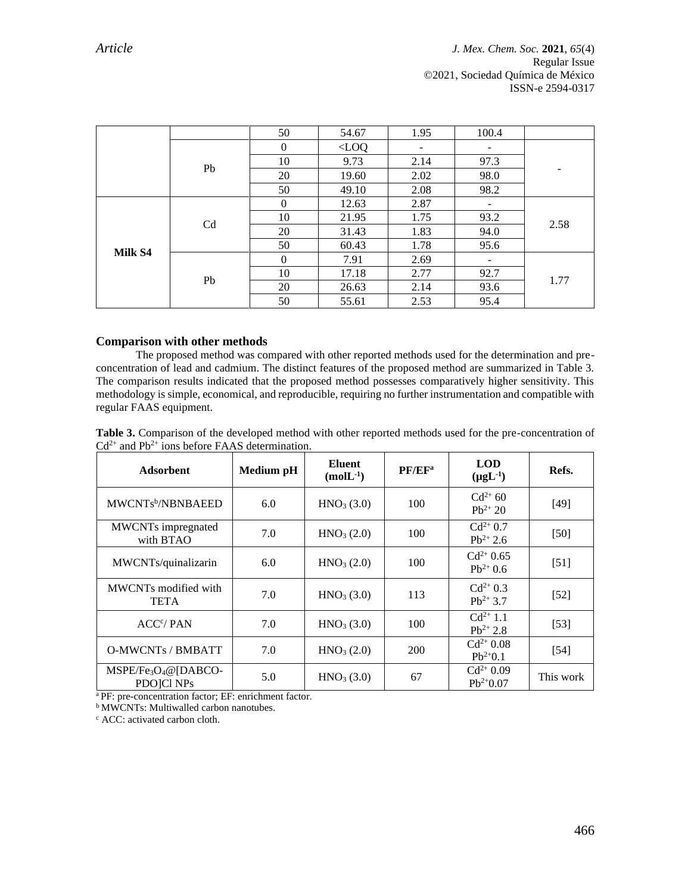|         |                | 50           | 54.67   | 1.95 | 100.4 |      |
|---------|----------------|--------------|---------|------|-------|------|
|         |                | $\theta$     | $<$ LOQ | -    | -     |      |
|         | Pb             | 10           | 9.73    | 2.14 | 97.3  |      |
|         |                | 20           | 19.60   | 2.02 | 98.0  |      |
|         |                | 50           | 49.10   | 2.08 | 98.2  |      |
| Milk S4 | C <sub>d</sub> | $\mathbf{0}$ | 12.63   | 2.87 |       | 2.58 |
|         |                | 10           | 21.95   | 1.75 | 93.2  |      |
|         |                | 20           | 31.43   | 1.83 | 94.0  |      |
|         |                | 50           | 60.43   | 1.78 | 95.6  |      |
|         | Pb             | $\theta$     | 7.91    | 2.69 |       | 1.77 |
|         |                | 10           | 17.18   | 2.77 | 92.7  |      |
|         |                | 20           | 26.63   | 2.14 | 93.6  |      |
|         |                | 50           | 55.61   | 2.53 | 95.4  |      |

# **Comparison with other methods**

The proposed method was compared with other reported methods used for the determination and preconcentration of lead and cadmium. The distinct features of the proposed method are summarized in Table 3. The comparison results indicated that the proposed method possesses comparatively higher sensitivity. This methodology is simple, economical, and reproducible, requiring no further instrumentation and compatible with regular FAAS equipment.

|                                                                | Table 3. Comparison of the developed method with other reported methods used for the pre-concentration of |  |  |
|----------------------------------------------------------------|-----------------------------------------------------------------------------------------------------------|--|--|
| $Cd^{2+}$ and Pb <sup>2+</sup> ions before FAAS determination. |                                                                                                           |  |  |

| <b>Adsorbent</b>                          | Medium pH | <b>Eluent</b><br>$(molL^{-1})$ | PF/EF <sup>a</sup> | <b>LOD</b><br>$(\mu g L^{-1})$ | Refs.     |
|-------------------------------------------|-----------|--------------------------------|--------------------|--------------------------------|-----------|
| MWCNTs <sup>b</sup> /NBNBAEED             | 6.0       | HNO <sub>3</sub> (3.0)         | 100                | $Cd^{2+} 60$<br>$Pb^{2+} 20$   | $[49]$    |
| <b>MWCNTs</b> impregnated<br>with BTAO    | 7.0       | HNO <sub>3</sub> (2.0)         | 100                | $Cd^{2+}0.7$<br>$Pb^{2+}$ 2.6  | $[50]$    |
| MWCNTs/quinalizarin                       | 6.0       | HNO <sub>3</sub> (2.0)         | 100                | $Cd^{2+} 0.65$<br>$Pb^{2+}0.6$ | $[51]$    |
| MWCNTs modified with<br><b>TETA</b>       | 7.0       | HNO <sub>3</sub> (3.0)         | 113                | $Cd^{2+}0.3$<br>$Pb^{2+}$ 3.7  | $[52]$    |
| ACC <sup>c</sup> /PAN                     | 7.0       | HNO <sub>3</sub> (3.0)         | 100                | $Cd^{2+}1.1$<br>$Pb^{2+}$ 2.8  | $[53]$    |
| <b>O-MWCNTs / BMBATT</b>                  | 7.0       | HNO <sub>3</sub> (2.0)         | 200                | $Cd^{2+} 0.08$<br>$Pb^{2+}0.1$ | $[54]$    |
| $MSPE/Fe3O4@[DABCO-$<br><b>PDOICI NPs</b> | 5.0       | HNO <sub>3</sub> (3.0)         | 67                 | $Cd^{2+}0.09$<br>$Pb^{2+}0.07$ | This work |

<sup>a</sup> PF: pre-concentration factor; EF: enrichment factor.

**b** MWCNTs: Multiwalled carbon nanotubes.

<sup>c</sup> ACC: activated carbon cloth.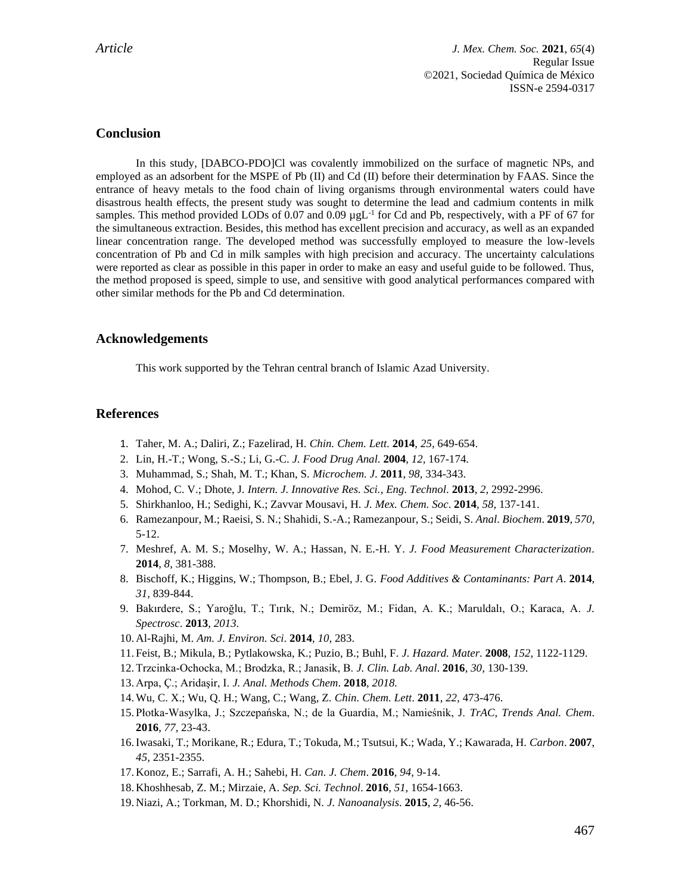# **Conclusion**

In this study, [DABCO-PDO]Cl was covalently immobilized on the surface of magnetic NPs, and employed as an adsorbent for the MSPE of Pb (II) and Cd (II) before their determination by FAAS. Since the entrance of heavy metals to the food chain of living organisms through environmental waters could have disastrous health effects, the present study was sought to determine the lead and cadmium contents in milk samples. This method provided LODs of 0.07 and 0.09  $\mu g L^{-1}$  for Cd and Pb, respectively, with a PF of 67 for the simultaneous extraction. Besides, this method has excellent precision and accuracy, as well as an expanded linear concentration range. The developed method was successfully employed to measure the low-levels concentration of Pb and Cd in milk samples with high precision and accuracy. The uncertainty calculations were reported as clear as possible in this paper in order to make an easy and useful guide to be followed. Thus, the method proposed is speed, simple to use, and sensitive with good analytical performances compared with other similar methods for the Pb and Cd determination.

# **Acknowledgements**

This work supported by the Tehran central branch of Islamic Azad University.

# **References**

- 1. Taher, M. A.; Daliri, Z.; Fazelirad, H. *Chin. Chem. Lett*. **2014**, *25,* 649-654.
- 2. Lin, H.-T.; Wong, S.-S.; Li, G.-C. *J. Food Drug Anal*. **2004**, *12,* 167-174.
- 3. Muhammad, S.; Shah, M. T.; Khan, S. *Microchem. J*. **2011**, *98,* 334-343.
- 4. Mohod, C. V.; Dhote, J. *Intern. J. Innovative Res. Sci., Eng. Technol*. **2013**, *2,* 2992-2996.
- 5. Shirkhanloo, H.; Sedighi, K.; Zavvar Mousavi, H. *J. Mex. Chem. Soc*. **2014**, *58,* 137-141.
- 6. Ramezanpour, M.; Raeisi, S. N.; Shahidi, S.-A.; Ramezanpour, S.; Seidi, S. *Anal. Biochem*. **2019**, *570,* 5-12.
- 7. Meshref, A. M. S.; Moselhy, W. A.; Hassan, N. E.-H. Y. *J. Food Measurement Characterization*. **2014**, *8,* 381-388.
- 8. Bischoff, K.; Higgins, W.; Thompson, B.; Ebel, J. G. *Food Additives & Contaminants: Part A*. **2014**, *31,* 839-844.
- 9. Bakırdere, S.; Yaroğlu, T.; Tırık, N.; Demiröz, M.; Fidan, A. K.; Maruldalı, O.; Karaca, A. *J. Spectrosc*. **2013**, *2013.*
- 10. Al-Rajhi, M. *Am. J. Environ. Sci*. **2014**, *10,* 283.
- 11. Feist, B.; Mikula, B.; Pytlakowska, K.; Puzio, B.; Buhl, F. *J. Hazard. Mater*. **2008**, *152,* 1122-1129.
- 12.Trzcinka‐Ochocka, M.; Brodzka, R.; Janasik, B. *J. Clin. Lab. Anal*. **2016**, *30,* 130-139.
- 13. Arpa, Ç.; Aridaşir, I. *J. Anal. Methods Chem*. **2018**, *2018.*
- 14.Wu, C. X.; Wu, Q. H.; Wang, C.; Wang, Z. *Chin. Chem. Lett*. **2011**, *22,* 473-476.
- 15. Płotka-Wasylka, J.; Szczepańska, N.; de la Guardia, M.; Namieśnik, J. *TrAC, Trends Anal. Chem*. **2016**, *77,* 23-43.
- 16.Iwasaki, T.; Morikane, R.; Edura, T.; Tokuda, M.; Tsutsui, K.; Wada, Y.; Kawarada, H. *Carbon*. **2007**, *45,* 2351-2355.
- 17. Konoz, E.; Sarrafi, A. H.; Sahebi, H. *Can. J. Chem*. **2016**, *94,* 9-14.
- 18. Khoshhesab, Z. M.; Mirzaie, A. *Sep. Sci. Technol*. **2016**, *51,* 1654-1663.
- 19. Niazi, A.; Torkman, M. D.; Khorshidi, N. *J. Nanoanalysis*. **2015**, *2,* 46-56.